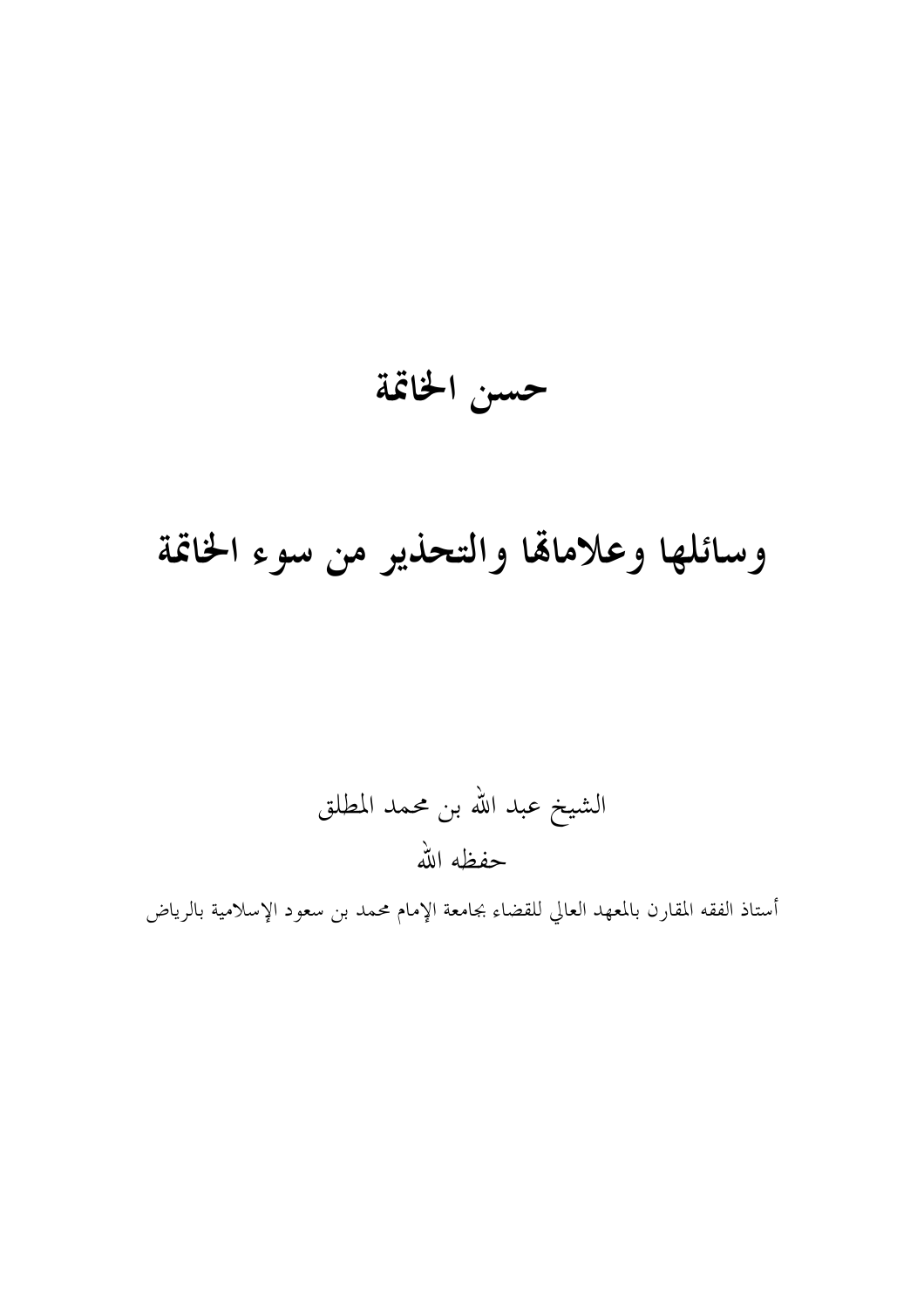حسن الخاتمة

## وسائلها وعلاماقما والتحذير من سوء الخاتمة

الشيخ عبد الله بن محمد المطلق حفظه الله

أستاذ الفقه المقارن بالمعهد العالي للقضاء بجامعة الإمام محمد بن سعود الإسلامية بالرياض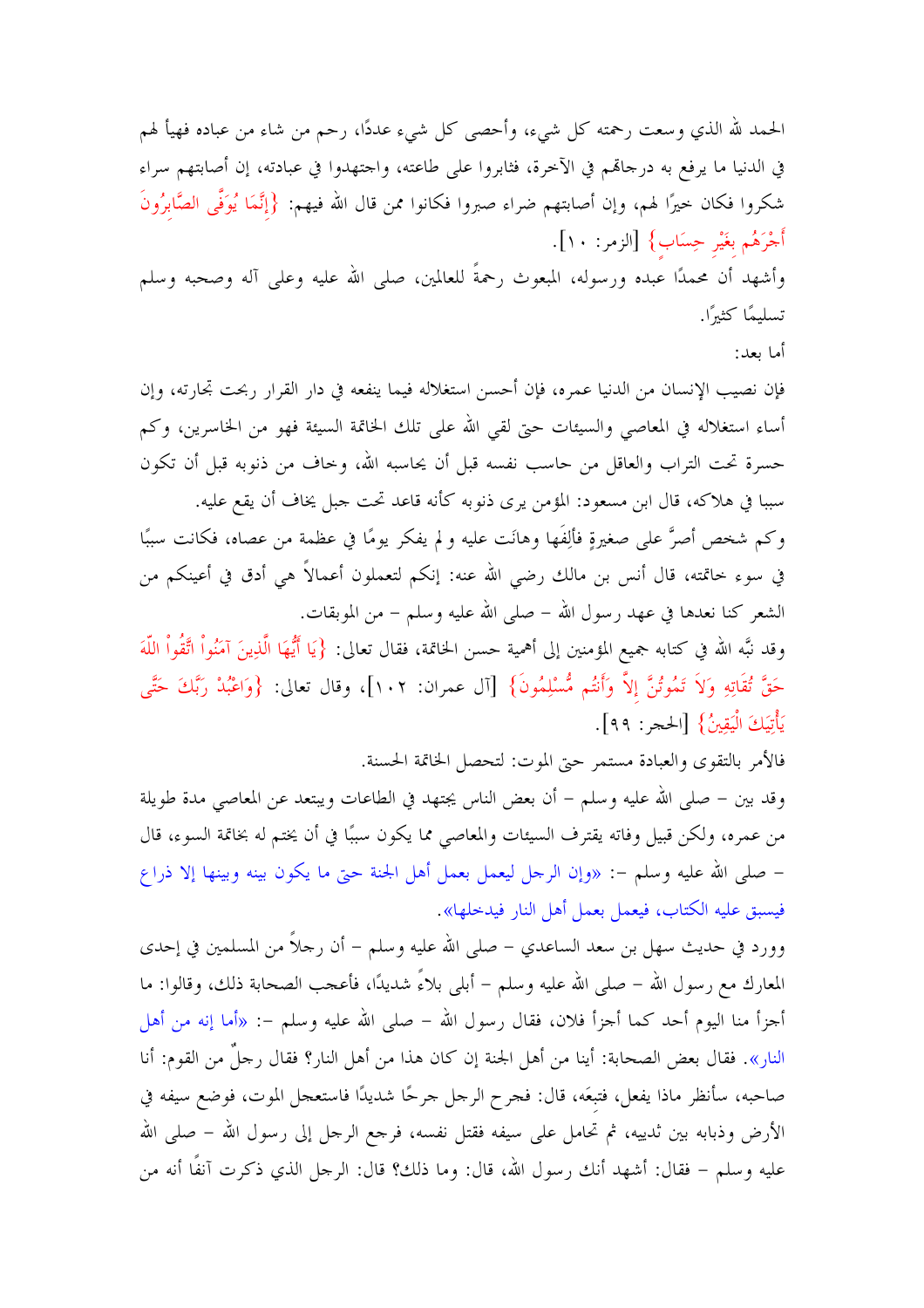الحمد لله الذي وسعت رحمته كلِّ شيء، وأحصى كلِّ شيء عددًا، رحم من شاء من عباده فهيأ لهم في الدنيا ما يرفع به درجالهم في الآخرة، فثابروا على طاعته، واجتهدوا في عبادته، إن أصابتهم سراء شكروا فكان حيرًا لهم، وإن أصابتهم ضراء صبروا فكانوا ممن قال الله فيهم: {إِنَّمَا يُوَفَّى الصَّابِرُونَ أَجْرَهُم بغَيْر حِسَاب} [الزمر: ١٠].

وأشهد أن محمدًا عبده ورسوله، المبعوث رحمةً للعالمين، صلى الله عليه وعلى آله وصحبه وسلم تسليمًا كثيرًا.

أما ىعد:

فإن نصيب الإنسان من الدنيا عمره، فإن أحسن استغلاله فيما ينفعه في دار القرار ربحت تجارته، وإن أساء استغلاله في المعاصى والسيئات حتى لقى الله على تلك الخاتمة السيئة فهو من الخاسرين، وكم حسرة تحت التراب والعاقل من حاسب نفسه قبل أن يحاسبه الله، وخاف من ذنوبه قبل أن تكون سببا في هلاكه، قال ابن مسعود: المؤمن يرى ذنوبه كأنه قاعد تحت جبل يخاف أن يقع عليه.

وكم شخص أصرَّ على صغيرةٍ فألِفَها وهانَت عليه و لم يفكر يومًا في عظمة من عصاه، فكانت سببًا في سوءِ خاتمته، قال أنس بن مالك رضي الله عنه: إنكم لتعملون أعمالاً هي أدق في أعينكم من الشعر كنا نعدها في عهد رسول الله – صلى الله عليه وسلم – من الموبقات.

وقد نبَّه الله في كتابه جميع المؤمنين إلى أهمية حسن الخاتمة، فقال تعالى: {يَا أَيُّهَا الَّذِينَ آمَنُواْ اتَّقُواْ اللَّهَ حَقَّ تُقَاتِهِ وَلاَ تَمُوتُنَّ إلاَّ وَأَنتُم مُّسْلِمُونَ} [آل عمران: ١٠٢]، وقال تعالى: {وَاعْبُدْ رَبَّكَ حَتَّى يَأْتِيَكَ الْيَقِينُ} [الحجر : ٩٩].

فالأمر بالتقوى والعبادة مستمر حبيّ الموت: لتحصل الخاتمة الحسنة.

وقد بين – صلى الله عليه وسلم – أن بعض الناس يجتهد في الطاعات ويبتعد عن المعاصي مدة طويلة من عمره، ولكن قبيل وفاته يقترف السيئات والمعاصي مما يكون سببًا في أن يختم له بخاتمة السوء، قال – صلى الله عليه وسلم –: «وإن الرجل ليعمل بعمل أهل الجنة حيّ ما يكون بينه وبينها إلا ذراع فيسبق عليه الكتاب، فيعمل بعمل أهل النار فيدخلها».

وورد في حديث سهل بن سعد الساعدي – صلى الله عليه وسلم – أن رحلاً من المسلمين في إحدى المعارك مع رسول الله – صلى الله عليه وسلم – أبلى بلاءً شديدًا، فأعجب الصحابة ذلك، وقالوا: ما أحزأ منا اليوم أحد كما أحزأ فلان، فقال رسول الله – صلى الله عليه وسلم –: «أما إنه من أهل النار». فقال بعض الصحابة: أينا من أهل الجنة إن كان هذا من أهل النار؟ فقال رحلٌ من القوم: أنا صاحبه، سأنظر ماذا يفعل، فتبعَه، قال: فجرح الرجل جرحًا شديدًا فاستعجل الموت، فوضع سيفه في الأرض وذبابه بين ثدييه، ثم تحامل على سيفه فقتل نفسه، فرجع الرجل إلى رسول الله – صلى الله عليه وسلم – فقال: أشهد أنك رسول الله، قال: وما ذلك؟ قال: الرجل الذي ذكرت آنفًا أنه من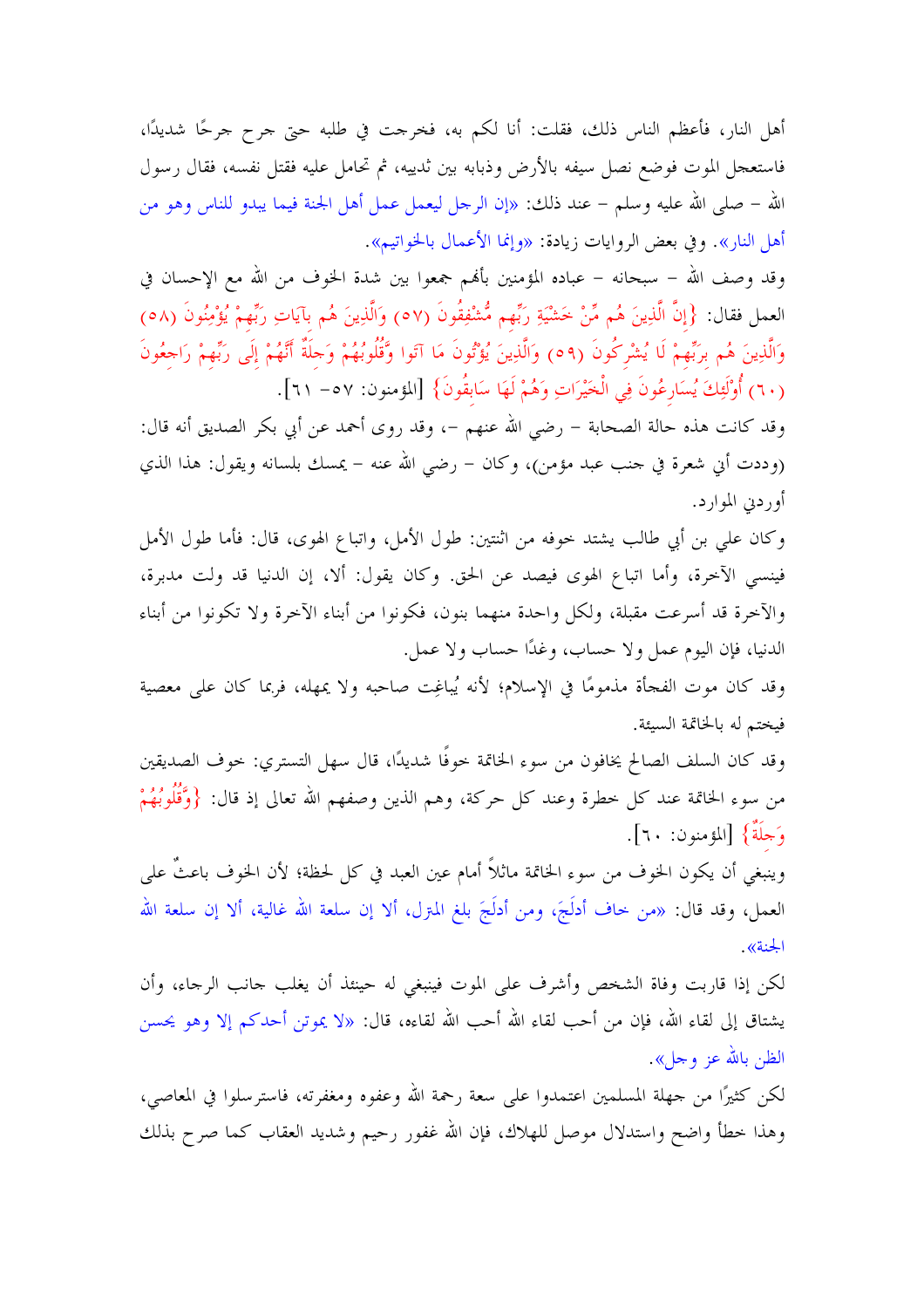أهل النار، فأعظم الناس ذلك، فقلت: أنا لكم به، فخرجت في طلبه حتى جرح جرحًا شديدًا، فاستعجل الموت فوضع نصل سيفه بالأرض وذبابه بين ثدييه، ثم تحامل عليه فقتل نفسه، فقال رسول الله – صلى الله عليه وسلم – عند ذلك: «إن الرجل ليعمل عمل أهل الجنة فيما يبدو للناس وهو من أهل النار». وفي بعض الروايات زيادة: «وإنما الأعمال بالخواتيم».

وقد وصف الله – سبحانه – عباده المؤمنين بألهم جمعوا بين شدة الخوف من الله مع الإحسان في العمل فقال: {إِنَّ الَّذِينَ هُم مِّنْ خَشْيَةِ رَبِّهِم مُّشْفِقُونَ (٥٧) وَالَّذِينَ هُم بآيَاتِ رَبِّهِمْ يُؤْمِنُونَ (٥٨) وَالَّذِينَ هُم برَبِّهِمْ لَا يُشْرِكُونَ (٥٩) وَالَّذِينَ يُؤْتُونَ مَا آتَوا وَّقُلُوبُهُمْ وَحِلَةٌ أَنَّهُمْ إلَى رَبِّهِمْ رَاحِعُونَ (٦٠) أُوْلَئِكَ يُسَارِعُونَ فِي الْخَيْرَاتِ وَهُمْ لَهَا سَابِقُونَ} [المؤمنون: ٥٧ – ٦١].

وقد كانت هذه حالة الصحابة – رضي الله عنهم –، وقد روى أحمد عن أبي بكر الصديق أنه قال: (وددت أين شعرة في حنب عبد مؤمن)، وكان – رضي الله عنه – يمسك بلسانه ويقول: هذا الذي أوردني الموارد.

وكان على بن أبي طالب يشتد حوفه من اثنتين: طول الأمل، واتباع الهوى، قال: فأما طول الأمل فينسبي الآخرة، وأما اتباع الهوى فيصد عن الحق. وكان يقول: ألا، إن الدنيا قد ولت مدبرة، والآخرة قد أسرعت مقبلة، ولكل واحدة منهما بنون، فكونوا من أبناء الآخرة ولا تكونوا من أبناء الدنيا، فإن اليوم عمل ولا حساب، وغدًا حساب ولا عمل.

وقد كان موت الفجأة مذمومًا في الإسلام؛ لأنه يُباغِت صاحبه ولا يمهله، فربما كان على معصية فيختم له بالخاتمة السيئة.

وقد كان السلف الصالح يخافون من سوء الخاتمة حوفًا شديدًا، قال سهل التستري: حوف الصديقين من سوء الخاتمة عند كل حطرة وعند كل حركة، وهم الذين وصفهم الله تعالى إذ قال: {وَّقُلُوبُهُمْ وَجِلَةٌ} [المؤمنون: ٦٠].

وينبغي أن يكون الخوف من سوء الخاتمة ماثلاً أمام عين العبد في كل لحظة؛ لأن الخوف باعثٌ على العمل، وقد قال: «من حاف أدلَجَ، ومن أدلَجَ بلغ المترل، ألا إن سلعة الله غالية، ألا إن سلعة الله الجنة».

لكن إذا قاربت وفاة الشخص وأشرف على الموت فينبغي له حينئذ أن يغلب حانب الرجاء، وأن يشتاق إلى لقاء الله، فإن من أحب لقاء الله أحب الله لقاءه، قال: «لا يموتن أحدكم إلا وهو يحسن الظن بالله عز وجل».

لكن كثيرًا من جهلة المسلمين اعتمدوا على سعة رحمة الله وعفوه ومغفرته، فاسترسلوا في المعاصي، وهذا حطأ واضح واستدلال موصل للهلاك، فإن الله غفور رحيم وشديد العقاب كما صرح بذلك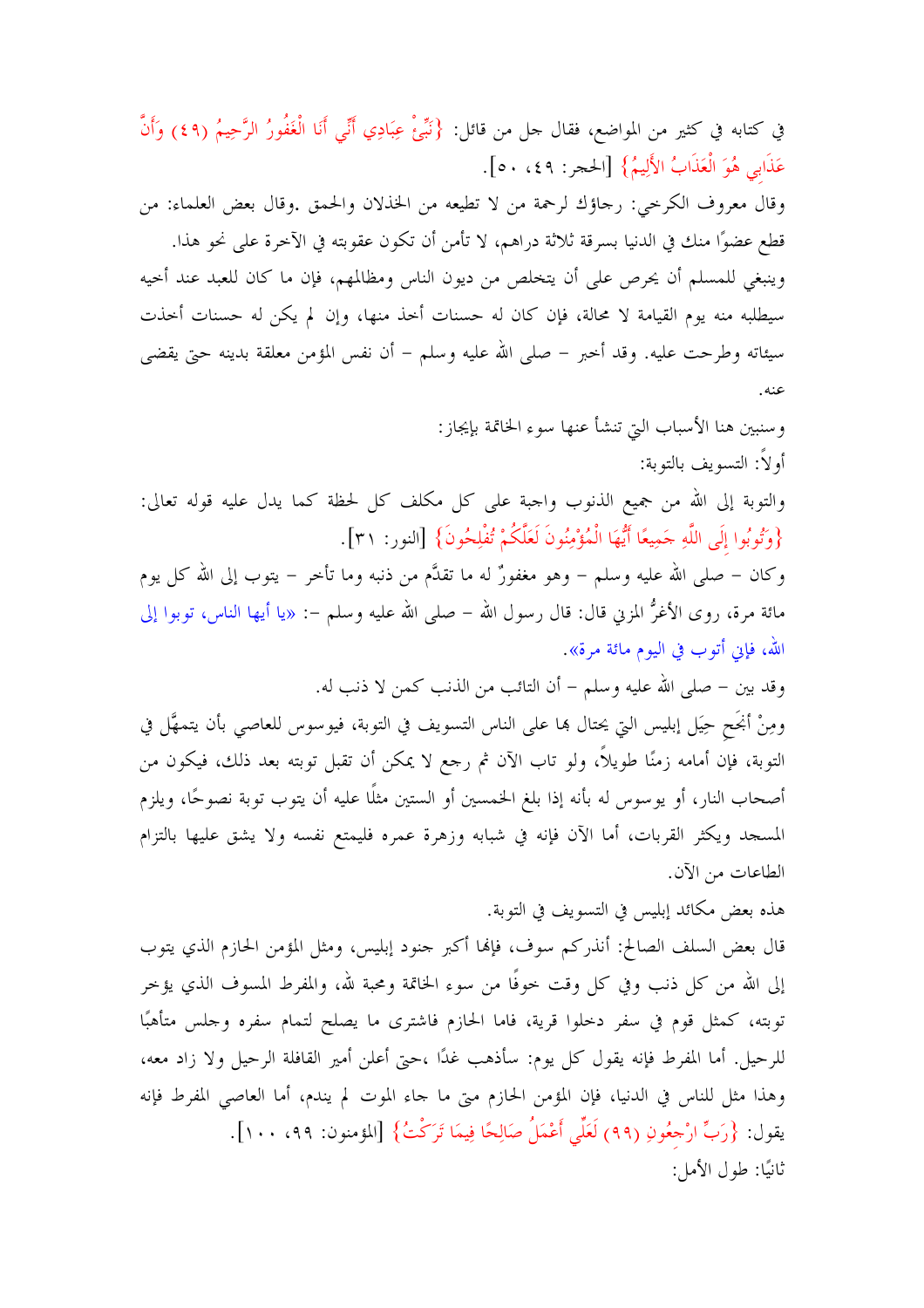في كتابه في كثير من المواضع، فقال حل من قائل: {نَبِّئْ عِبَادِي أَنِّي أَنَا الْغَفُورُ الرَّحِيمُ (٤٩) وَأَنَّ عَذَابِي هُوَ الْعَذَابُ الأَلِيمُ} [الحجر: ٤٩، ٥٠]. وقال معروف الكرحي: رجاؤك لرحمة من لا تطيعه من الخذلان والحمق .وقال بعض العلماء: من قطع عضوًا منك في الدنيا بسرقة ثلاثة دراهم، لا تأمن أن تكون عقوبته في الآخرة على نحو هذا. وينبغي للمسلم أن يحرص على أن يتخلص من ديون الناس ومظالمهم، فإن ما كان للعبد عند أحيه سيطلبه منه يوم القيامة لا محالة، فإن كان له حسنات أخذ منها، وإن لم يكن له حسنات أحذت سيئاته وطرحت عليه. وقد أخبر – صلى الله عليه وسلم – أن نفس المؤمن معلقة بدينه حتى يقضي عنه .

> وسنبين هنا الأسباب التي تنشأ عنها سوء الخاتمة بإيجاز: أو لاً: التسويف بالتوبة:

والتوبة إلى الله من جميع الذنوب واجبة على كل مكلف كل لحظة كما يدل عليه قوله تعالى: {وَتُوبُوا إِلَى اللَّهِ حَمِيعًا أَيُّهَا الْمُؤْمِنُونَ لَعَلَّكُمْ تُفْلِحُونَ} [النور: ٣١].

وكان – صلى الله عليه وسلم – وهو مغفورٌ له ما تقدَّم من ذنبه وما تأخر – يتوب إلى الله كل يوم مائة مرة، روى الأغرُّ المزني قال: قال رسول الله – صلى الله عليه وسلم –: «يا أيها الناس، توبوا إلى الله، فإن أتوب في اليوم مائة مرة».

وقد بين – صلى الله عليه وسلم – أن التائب من الذنب كمن لا ذنب له.

ومِنْ أَبْحَح حِيَل إبليس التي يحتال هِا على الناس التسويف في التوبة، فيوسوس للعاصبي بأن يتمهَّل في التوبة، فإن أمامه زمنًا طويلاً، ولو تاب الآن ثم رجع لا يمكن أن تقبل توبته بعد ذلك، فيكون من أصحاب النار، أو يوسوس له بأنه إذا بلغ الخمسين أو الستين مثلًا عليه أن يتوب توبة نصوحًا، ويلزم المسجد ويكثر القربات، أما الآن فإنه في شبابه وزهرة عمره فليمتع نفسه ولا يشق عليها بالتزام الطاعات من الآن.

هذه بعض مكائد إبليس في التسويف في التوبة.

قال بعض السلف الصالح: أنذركم سوف، فإلها أكبر حنود إبليس، ومثل المؤمن الحازم الذي يتوب إلى الله من كل ذنب وفي كل وقت خوفًا من سوء الخاتمة ومحبة لله، والمفرط المسوف الذي يؤخر توبته، كمثل قوم في سفر دخلوا قرية، فاما الحازم فاشترى ما يصلح لتمام سفره وحلس متأهبًا للرحيل. أما المفرط فإنه يقول كل يوم: سأذهب غدًا ،حتى أعلن أمير القافلة الرحيل ولا زاد معه، وهذا مثل للناس في الدنيا، فإن المؤمن الحازم مبيٍّ ما جاء الموت لم يندم، أما العاصبي المفرط فإنه يقول: {رَبِّ ارْحِعُونِ (٩٩) لَعَلِّي أَعْمَلُ صَالِحًا فِيمَا تَرَكْتُ} [المؤمنون: ٩٩، ١٠٠]. ثانيًا: طول الأمل: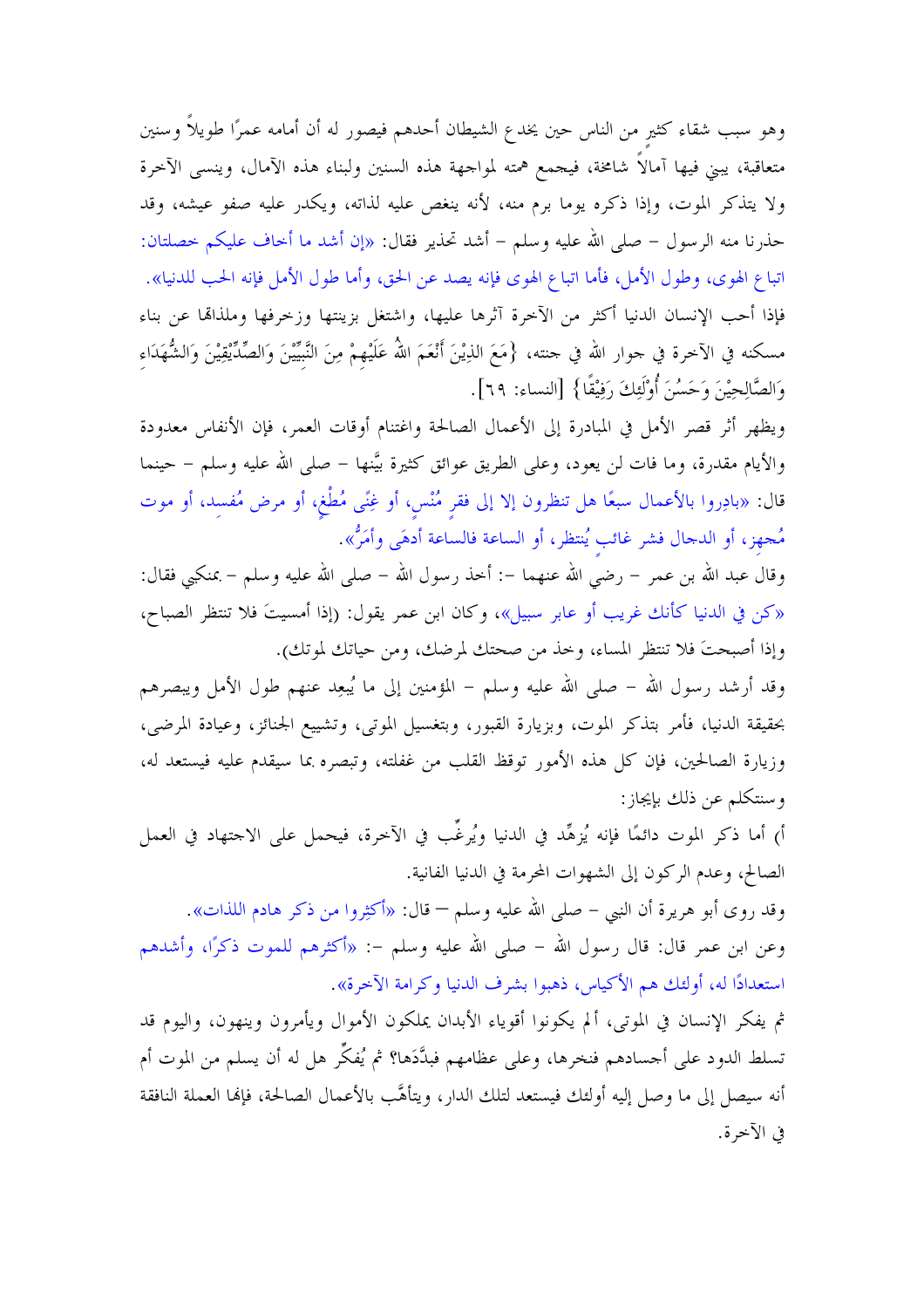وهو سبب شقاء كثير من الناس حين يخدع الشيطان أحدهم فيصور له أن أمامه عمرًا طويلاً وسنين متعاقبة، يبني فيها آمالاً شامخة، فيجمع همته لمواجهة هذه السنين ولبناء هذه الآمال، وينسى الآخرة ولا يتذكر الموت، وإذا ذكره يوما برم منه، لأنه ينغص عليه لذاته، ويكدر عليه صفو عيشه، وقد حذرنا منه الرسول – صلى الله عليه وسلم – أشد تحذير فقال: «إن أشد ما أحاف عليكم حصلتان: اتباع الهوى، وطول الأمل، فأما اتباع الهوى فإنه يصد عن الحق، وأما طول الأمل فإنه الحب للدنيا». فإذا أحب الإنسان الدنيا أكثر من الآخرة آثرها عليها، واشتغل بزينتها وزحرفها وملذاقما عن بناء مسكنه في الآخرة في جوار الله في حنته، {مَعَ الذِيْنَ أَنْعَمَ اللَّهُ عَلَيْهِمْ مِنَ النَّبَيِّيْنَ وَالصِّدِّيْقِيْنَ وَالشُّهَدَاء وَالصَّالِحِيْنَ وَحَسُنَ أُوْلَئِكَ رَفِيْقًا} [النساء: ٦٩].

ويظهر أثر قصر الأمل في المبادرة إلى الأعمال الصالحة واغتنام أوقات العمر، فإن الأنفاس معدودة والأيام مقدرة، وما فات لن يعود، وعلى الطريق عوائق كثيرة بيَّنها – صلى الله عليه وسلم – حينما قال: «بادِروا بالأعمال سبعًا هل تنظرون إلا إلى فقر مُنْس، أو غِنًى مُطْغ، أو مرض مُفسد، أو موت مُجهزٍ، أو الدجال فشر غائب يُنتظر، أو الساعة فالساعة أدهَى وأمَرُّ».

وقال عبد الله بن عمر – رضي الله عنهما –: أخذ رسول الله – صلى الله عليه وسلم – بمنكبي فقال: «كن في الدنيا كأنك غريب أو عابر سبيل»، وكان ابن عمر يقول: (إذا أمسيتَ فلا تنتظر الصباح، وإذا أصبحتَ فلا تنتظر المساء، وخذ من صحتك لمرضك، ومن حياتك لموتك).

وقد أرشد رسول الله – صلى الله عليه وسلم – المؤمنين إلى ما يُبعِد عنهم طول الأمل ويبصرهم بحقيقة الدنيا، فأمر بتذكر الموت، وبزيارة القبور، وبتغسيل الموتى، وتشييع الجنائز، وعيادة المرضى، وزيارة الصالحين، فإن كل هذه الأمور توقظ القلب من غفلته، وتبصره بما سيقدم عليه فيستعد له، وسنتكلم عن ذلك بإيجاز :

أ) أما ذكر الموت دائمًا فإنه يُزهِّد في الدنيا ويُرغِّب في الآخرة، فيحمل على الاجتهاد في العمل الصالح، وعدم الركون إلى الشهوات المحرمة في الدنيا الفانية.

وقد روى أبو هريرة أن النبي – صلى الله عليه وسلم – قال: «أكثِروا من ذكر هادم اللذات». وعن ابن عمر قال: قال رسول الله – صلى الله عليه وسلم –: «أكثرهم للموت ذكرًا، وأشدهم استعدادًا له، أولئك هم الأكياس، ذهبوا بشرف الدنيا وكرامة الآخرة».

ثم يفكر الإنسان في الموتى، ألم يكونوا أقوياء الأبدان يملكون الأموال ويأمرون وينهون، واليوم قد تسلط الدود على أجسادهم فنخرها، وعلى عظامهم فبدَّدَها؟ ثم يُفكِّر هل له أن يسلم من الموت أم أنه سيصل إلى ما وصل إليه أولئك فيستعد لتلك الدار ، ويتأهَّب بالأعمال الصالحة، فإنها العملة النافقة في الآخر ة.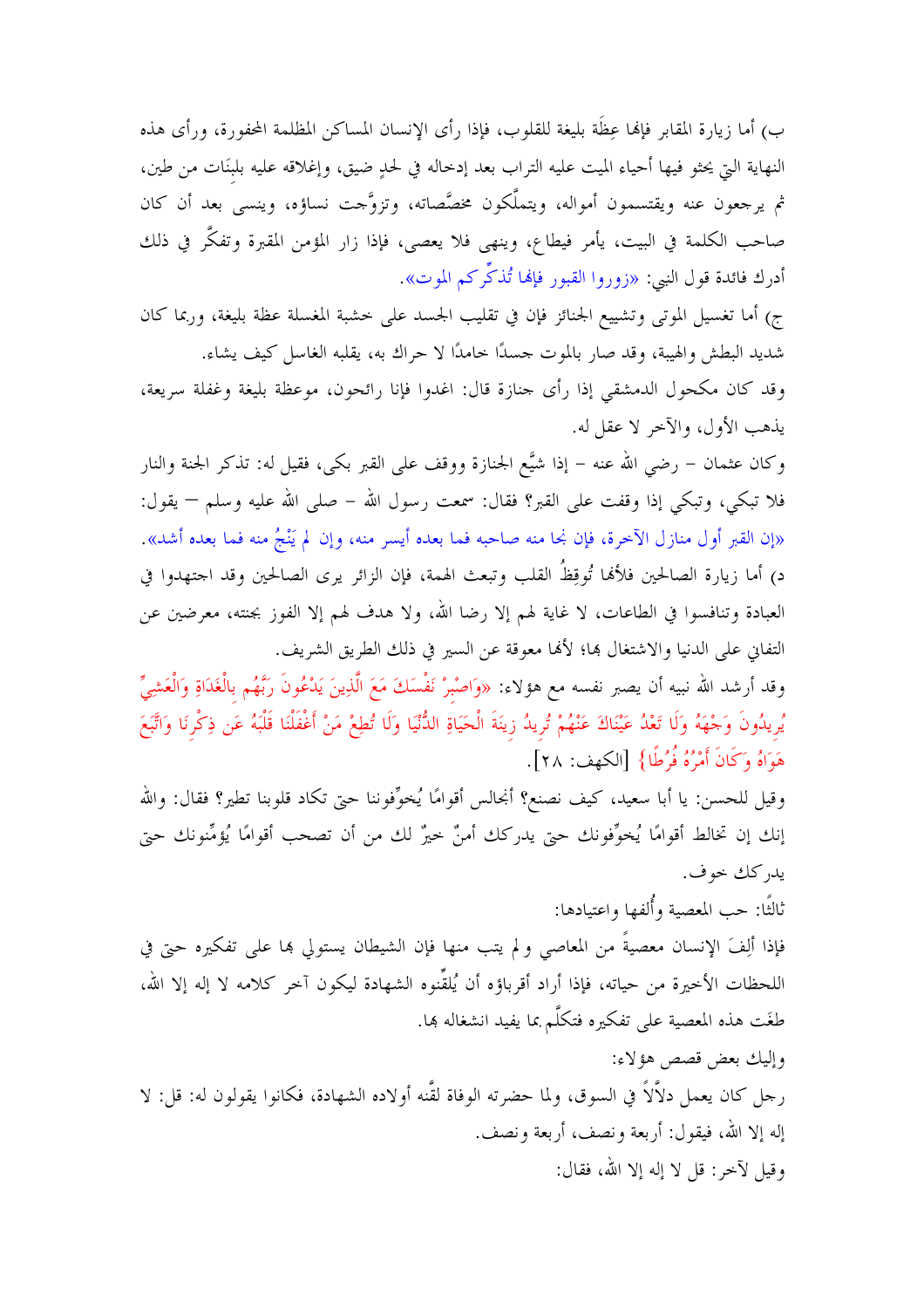ب) أما زيارة المقابر فإلها عِظَة بليغة للقلوب، فإذا رأى الإنسان المساكن المظلمة المحفورة، ورأى هذه النهاية التي يحثو فيها أحياء الميت عليه التراب بعد إدخاله في لحدٍ ضيق، وإغلاقه عليه بلبنَات من طين، ثم يرجعون عنه ويقتسمون أمواله، ويتملَّكون مخصَّصاته، وتزوَّجت نساؤه، وينسى بعد أن كان صاحب الكلمة في البيت، يأمر فيطاع، وينهى فلا يعصى، فإذا زار المؤمن المقبرة وتفكَّر في ذلك أدرك فائدة قول النبي: «زوروا القبور فإنها تُذكِّركم الموت».

ج) أما تغسيل الموتى وتشييع الجنائز فإن في تقليب الجسد على حشبة المغسلة عظة بليغة، وربما كان شديد البطش والهيبة، وقد صار بالموت حسدًا خامدًا لا حراك به، يقلبه الغاسل كيف يشاء.

وقد كان مكحول الدمشقى إذا رأى جنازة قال: اغدوا فإنا رائحون، موعظة بليغة وغفلة سريعة، يذهب الأول، والآخر لا عقل له.

وكان عثمان – رضي الله عنه – إذا شيَّع الجنازة ووقف على القبر بكي، فقيل له: تذكر الجنة والنار فلا تبكي، وتبكي إذا وقفت على القبر؟ فقال: سمعت رسول الله – صلى الله عليه وسلم — يقول: «إن القبر أول منازل الآخرة، فإن نجا منه صاحبه فما بعده أيسر منه، وإن لم يَنْجُ منه فما بعده أشد». د) أما زيارة الصالحين فلألها تُوقِظُ القلب وتبعث الهمة، فإن الزائر يرى الصالحين وقد احتهدوا في العبادة وتنافسوا في الطاعات، لا غاية لهم إلا رضا الله، ولا هدف لهم إلا الفوز بجنته، معرضين عن التفاني على الدنيا والاشتغال ها؛ لألها معوقة عن السير في ذلك الطريق الشريف.

وقد أرشد الله نبيه أن يصبر نفسه مع هؤلاء: «وَاصْبِرْ نَفْسَكَ مَعَ الَّذِينَ يَدْعُونَ رَبَّهُم بِالْغَدَاةِ وَالْعَشِيِّ يُريدُونَ وَجْهَهُ وَلَا تَعْدُ عَيْنَاكَ عَنْهُمْ تُريدُ زِينَةَ الْحَيَاةِ الدُّنْيَا وَلَا تُطِعْ مَنْ أَغْفَلْنَا قَلْبَهُ عَن ذِكْرِنَا وَاتَّبَعَ هَوَاهُ وَكَانَ أَمْرُهُ فُرُطًا} [الكهف: ٢٨].

وقيل للحسن: يا أبا سعيد، كيف نصنع؟ أنجالس أقوامًا يُخوِّفوننا حتى تكاد قلوبنا تطير؟ فقال: والله إنك إن تخالط أقوامًا يُخوِّفونك حتى يدركك أمنٌ خيرٌ لك من أن تصحب أقوامًا يُؤمِّنونك حتى يدركك خوف.

ثالثًا: حب المعصية وأُلفها واعتيادها:

فإذا ألِفَ الإنسان معصيةً من المعاصي ولم يتب منها فإن الشيطان يستولي بما على تفكيره حتى في اللحظات الأخيرة من حياته، فإذا أراد أقرباؤه أن يُلقِّنوه الشهادة ليكون آخر كلامه لا إله إلا الله، طغَت هذه المعصية على تفكيره فتكلَّم بما يفيد انشغاله بما.

وإليك بعض قصص هؤلاء: , جلَّ كان يعمل دلاَّلاً في السوق، ولما حضرته الوفاة لقَّنه أولاده الشهادة، فكانوا يقولون له: قل: لا إله إلا الله، فيقول: أربعة ونصف، أربعة ونصف. وقيل لآخر: قل لا إله إلا الله، فقال: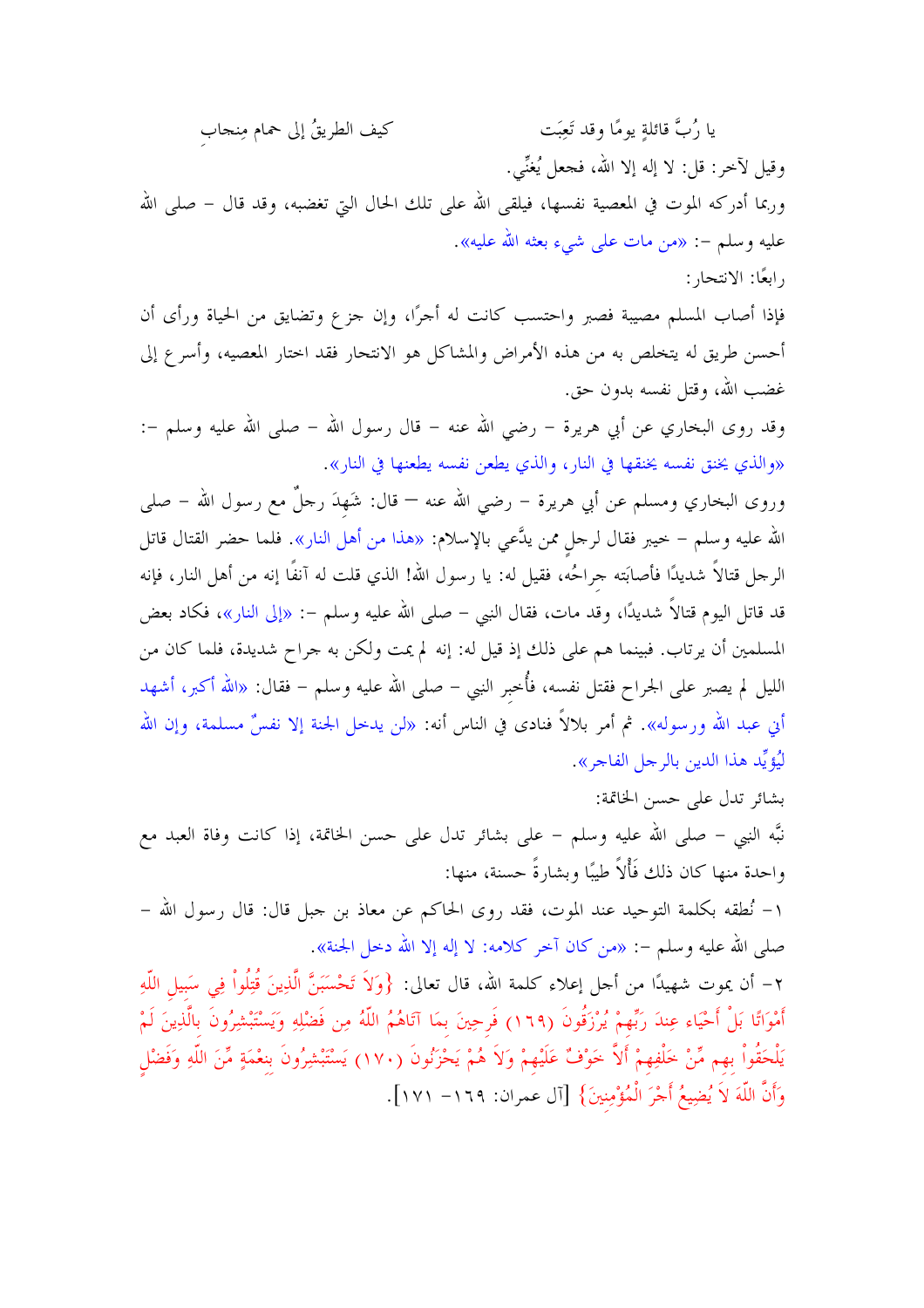يا رُبَّ قائلةٍ يومًا وقد تَعِبَت كيف الطريقُ إلى حمام مِنجاب وقيل لآخر: قل: لا إله إلا الله، فجعل يُغنِّي. وربما أدركه الموت في المعصية نفسها، فيلقى الله على تلك الحال التي تغضبه، وقد قال – صلى الله عليه وسلم –: «من مات على شيء بعثه الله عليه». رابعًا: الانتحار :

فإذا أصاب المسلم مصيبة فصبر واحتسب كانت له أجرًا، وإن جزع وتضايق من الحياة ورأى أن أحسن طريق له يتخلص به من هذه الأمراض والمشاكل هو الانتحار فقد اختار المعصيه، وأسرع إلى غضب الله، وقتل نفسه بدون حق.

وقد روى البخاري عن أبي هريرة – رضي الله عنه – قال رسول الله – صلى الله عليه وسلم –: «والذي يخنق نفسه يخنقها في النار، والذي يطعن نفسه يطعنها في النار».

وروى البخاري ومسلم عن أبي هريرة – رضي الله عنه — قال: شَهدَ رحلٌ مع رسول الله – صلى الله عليه وسلم – خيبر فقال لرحل ممن يدَّعي بالإسلام: «هذا من أهل النار». فلما حضر القتال قاتل الرحل قتالاً شديدًا فأصابَته حراحُه، فقيل له: يا رسول الله! الذي قلت له آنفًا إنه من أهل النار، فإنه قد قاتل اليوم قتالاً شديدًا، وقد مات، فقال النبي – صلى الله عليه وسلم –: «إلى النار»، فكاد بعض المسلمين أن يرتاب. فبينما هم على ذلك إذ قيل له: إنه لم يمت ولكن به حراح شديدة، فلما كان من الليل لم يصبر على الجراح فقتل نفسه، فأُخبر النبي – صلى الله عليه وسلم – فقال: «الله أكبر، أشهد أنِ عبد الله ورسوله». ثم أمر بلالاً فنادى في الناس أنه: «لن يدخل الجنة إلا نفسٌ مسلمة، وإن الله ليُّؤيِّد هذا الدين بالرجل الفاجر».

بشائر تدل على حسن الخاتمة: نبَّه النبي – صلى الله عليه وسلم – على بشائر تدل على حسن الخاتمة، إذا كانت وفاة العبد مع واحدة منها كان ذلك فَأْلاً طيبًا وبشارةً حسنة، منها: ١– نُطقه بكلمة التوحيد عند الموت، فقد روى الحاكم عن معاذ بن حبل قال: قال رسول الله – صلى الله عليه وسلم –: «من كان آخر كلامه: لا إله إلا الله دخل الجنة». ٢– أن يموت شهيدًا من أحل إعلاء كلمة الله، قال تعالى: {وَلاَ تَحْسَبَنَّ الَّذِينَ قُتِلُواْ فِي سَبيل اللّهِ أَمْوَاتًا بَلْ أَحْيَاء عِندَ رَبِّهمْ يُرْزَقُونَ (١٦٩) فَرحِينَ بمَا آتَاهُمُ اللَّهُ مِن فَضْلِهِ وَيَسْتَبْشِرُونَ بالَّذِينَ لَمْ يَلْحَقُواْ بهم مِّنْ خَلْفِهِمْ أَلاَّ خَوْفٌ عَلَيْهِمْ وَلاَ هُمْ يَحْزَنُونَ (١٧٠) يَسْتَبْشِرُونَ بنعْمَةٍ مِّنَ اللّهِ وَفَضْل وَأَنَّ اللَّهَ لاَ يُضِيعُ أَجْرَ الْمُؤْمِنِينَ} [آل عمران: ١٦٩– ١٧١].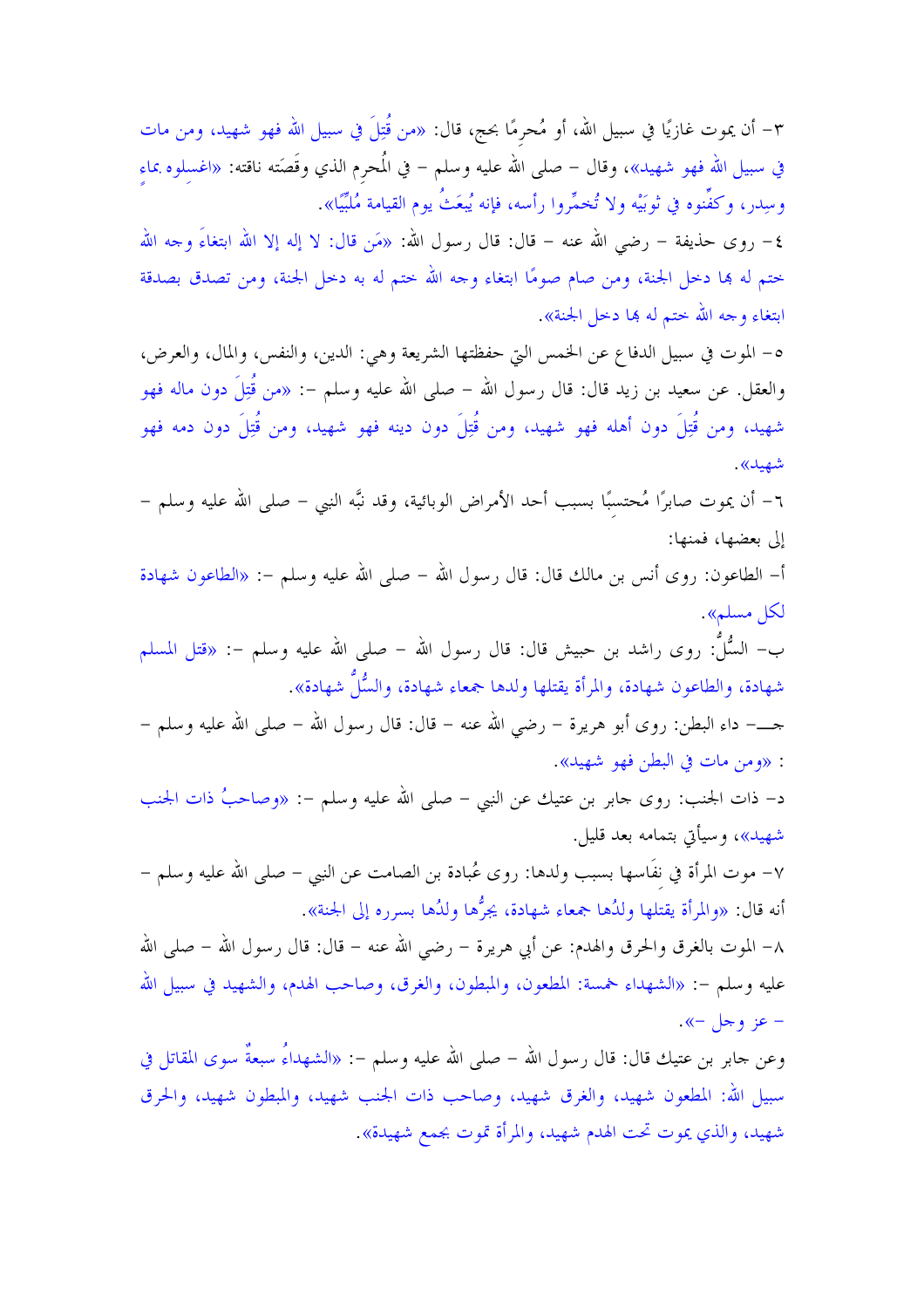٣- أن يموت غازيًا في سبيل الله، أو مُحرمًا بحج، قال: «من قُتِلَ في سبيل الله فهو شهيد، ومن مات في سبيل الله فهو شهيد»، وقال – صلى الله عليه وسلم – في المُحرم الذي وقَصَته ناقته: «اغسلوه بماء وسِدر، وكفُّنوه في ثوبَيْه ولا تُخمَّروا رأسه، فإنه يُبعَثُ يوم القيامة مُلبَّيًا».

٤– روى حذيفة – رضى الله عنه – قال: قال رسول الله: «مَن قال: لا إله إلا الله ابتغاءَ وجه الله حتم له بما دحل الجنة، ومن صام صومًا ابتغاء وجه الله حتم له به دحل الجنة، ومن تصدق بصدقة ابتغاء و حه الله حتم له ها دخل الجنة».

٥– الموت في سبيل الدفاع عن الخمس التي حفظتها الشريعة وهي: الدين، والنفس، والمال، والعرض، والعقل. عن سعيد بن زيد قال: قال رسول الله – صلى الله عليه وسلم –: «من قُتِلَ دون ماله فهو شهيد، ومن قُتِلَ دون أهله فهو شهيد، ومن قُتِلَ دون دينه فهو شهيد، ومن قُتِلَ دون دمه فهو شهيد».

٦– أن يموت صابرًا مُحتسبًا بسبب أحد الأمراض الوبائية، وقد نبَّه النبي – صلى الله عليه وسلم – إلى بعضها، فمنها:

أ– الطاعون: روى أنس بن مالك قال: قال رسول الله – صلى الله عليه وسلم –: «الطاعون شهادة لكل مسلم».

ب– السُّلُّ: روى راشد بن حبيش قال: قال رسول الله – صلى الله عليه وسلم –: «قتل المسلم شهادة، والطاعون شهادة، والمرأة يقتلها ولدها جمعاء شهادة، والسُّلِّ شهادة».

حــــ داء البطن: روى أبو هريرة – رضى الله عنه – قال: قال رسول الله – صلى الله عليه وسلم – : «ومن مات في البطن فهو شهيد».

د– ذات الجنب: روى جابر بن عتيك عن النبي – صلى الله عليه وسلم -: «وصاحبُ ذات الجنب شهيد»، وسيأتي بتمامه بعد قليل.

٧– موت المرأة في نفَّاسها بسبب ولدها: روى عُبادة بن الصامت عن النبي – صلى الله عليه وسلم – أنه قال: «والمرأة يقتلها ولدُها جمعاء شهادة، يجرُّها ولدُها بسرره إلى الجنة».

٨– الموت بالغرق والحرق والهدم: عن أبي هريرة – رضي الله عنه – قال: قال رسول الله – صلى الله عليه وسلم –: «الشهداء خمسة: المطعون، والمبطون، والغرق، وصاحب الهدم، والشهيد في سبيل الله – عز وجل –».

وعن حابر بن عتيك قال: قال رسول الله – صلى الله عليه وسلم –: «الشهداءُ سبعةٌ سوى المقاتل في سبيل الله: المطعون شهيد، والغرق شهيد، وصاحب ذات الجنب شهيد، والمبطون شهيد، والحرق شهيد، والذي يموت تحت الهدم شهيد، والمرأة قوت بجمع شهيدة».